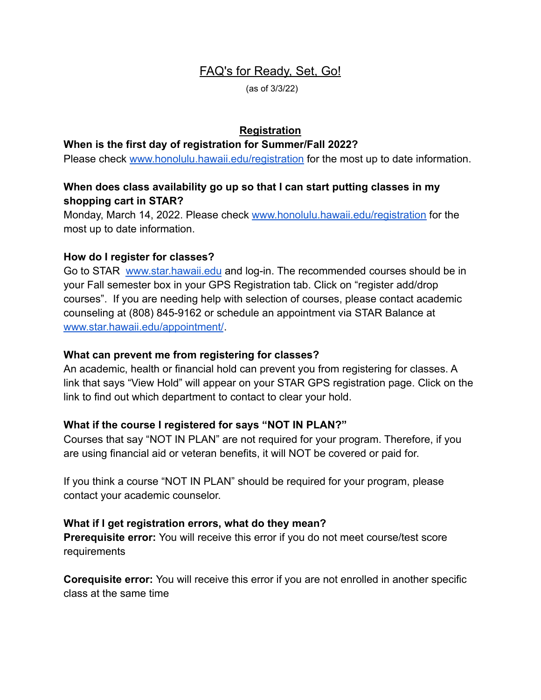# FAQ's for Ready, Set, Go!

(as of 3/3/22)

## **Registration**

#### **When is the first day of registration for Summer/Fall 2022?**

Please check [www.honolulu.hawaii.edu/registration](http://www.honolulu.hawaii.edu/registration) for the most up to date information.

## **When does class availability go up so that I can start putting classes in my shopping cart in STAR?**

Monday, March 14, 2022. Please check [www.honolulu.hawaii.edu/registration](http://www.honolulu.hawaii.edu/registration) for the most up to date information.

## **How do I register for classes?**

Go to STAR [www.star.hawaii.edu](http://www.star.hawaii.edu) and log-in. The recommended courses should be in your Fall semester box in your GPS Registration tab. Click on "register add/drop courses". If you are needing help with selection of courses, please contact academic counseling at (808) 845-9162 or schedule an appointment via STAR Balance at [www.star.hawaii.edu/appointment/](https://www.star.hawaii.edu/appointment/).

#### **What can prevent me from registering for classes?**

An academic, health or financial hold can prevent you from registering for classes. A link that says "View Hold" will appear on your STAR GPS registration page. Click on the link to find out which department to contact to clear your hold.

## **What if the course I registered for says "NOT IN PLAN?"**

Courses that say "NOT IN PLAN" are not required for your program. Therefore, if you are using financial aid or veteran benefits, it will NOT be covered or paid for.

If you think a course "NOT IN PLAN" should be required for your program, please contact your academic counselor.

## **What if I get registration errors, what do they mean?**

**Prerequisite error:** You will receive this error if you do not meet course/test score requirements

**Corequisite error:** You will receive this error if you are not enrolled in another specific class at the same time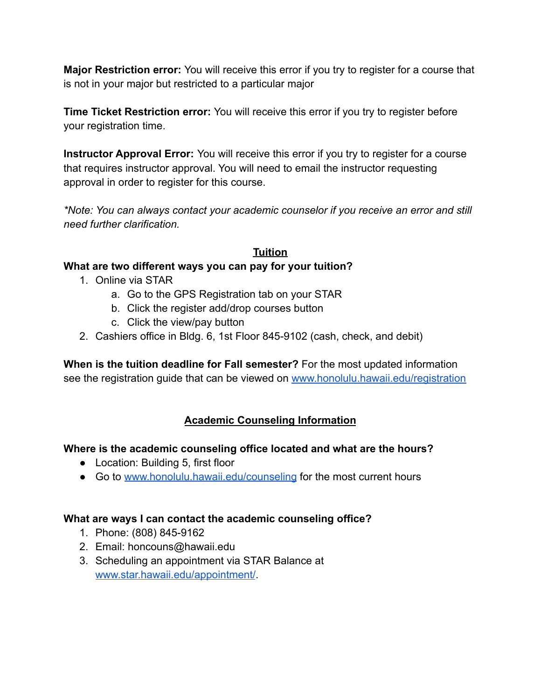**Major Restriction error:** You will receive this error if you try to register for a course that is not in your major but restricted to a particular major

**Time Ticket Restriction error:** You will receive this error if you try to register before your registration time.

**Instructor Approval Error:** You will receive this error if you try to register for a course that requires instructor approval. You will need to email the instructor requesting approval in order to register for this course.

*\*Note: You can always contact your academic counselor if you receive an error and still need further clarification.*

## **Tuition**

## **What are two different ways you can pay for your tuition?**

- 1. Online via STAR
	- a. Go to the GPS Registration tab on your STAR
	- b. Click the register add/drop courses button
	- c. Click the view/pay button
- 2. Cashiers office in Bldg. 6, 1st Floor 845-9102 (cash, check, and debit)

**When is the tuition deadline for Fall semester?** For the most updated information see the registration guide that can be viewed on [www.honolulu.hawaii.edu/registration](http://www.honolulu.hawaii.edu/registration)

# **Academic Counseling Information**

## **Where is the academic counseling office located and what are the hours?**

- Location: Building 5, first floor
- Go to [www.honolulu.hawaii.edu/counseling](http://www.honolulu.hawaii.edu/counseling) for the most current hours

## **What are ways I can contact the academic counseling office?**

- 1. Phone: (808) 845-9162
- 2. Email: [honcouns@hawaii.edu](mailto:honcouns@hawaii.edu)
- 3. Scheduling an appointment via STAR Balance at [www.star.hawaii.edu/appointment/](https://www.star.hawaii.edu/appointment/).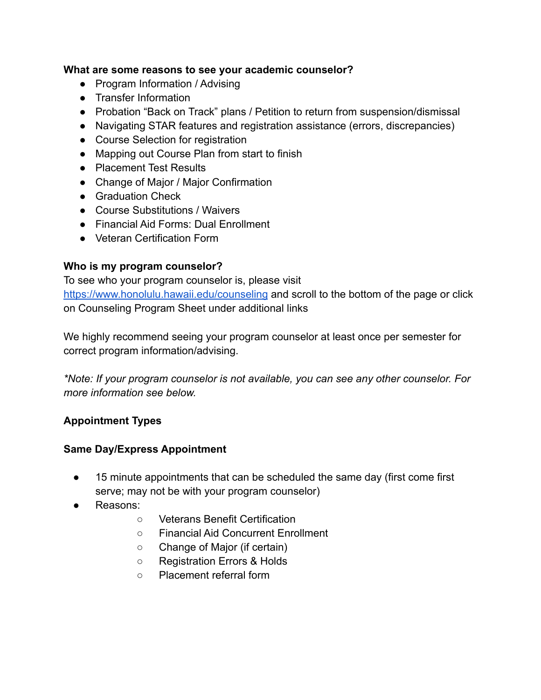## **What are some reasons to see your academic counselor?**

- Program Information / Advising
- Transfer Information
- Probation "Back on Track" plans / Petition to return from suspension/dismissal
- Navigating STAR features and registration assistance (errors, discrepancies)
- Course Selection for registration
- Mapping out Course Plan from start to finish
- Placement Test Results
- Change of Major / Major Confirmation
- **•** Graduation Check
- Course Substitutions / Waivers
- Financial Aid Forms: Dual Enrollment
- Veteran Certification Form

## **Who is my program counselor?**

To see who your program counselor is, please visit <https://www.honolulu.hawaii.edu/counseling> and scroll to the bottom of the page or click on Counseling Program Sheet under additional links

We highly recommend seeing your program counselor at least once per semester for correct program information/advising.

*\*Note: If your program counselor is not available, you can see any other counselor. For more information see below.*

## **Appointment Types**

## **Same Day/Express Appointment**

- 15 minute appointments that can be scheduled the same day (first come first serve; may not be with your program counselor)
- Reasons:
	- Veterans Benefit Certification
	- Financial Aid Concurrent Enrollment
	- Change of Major (if certain)
	- Registration Errors & Holds
	- Placement referral form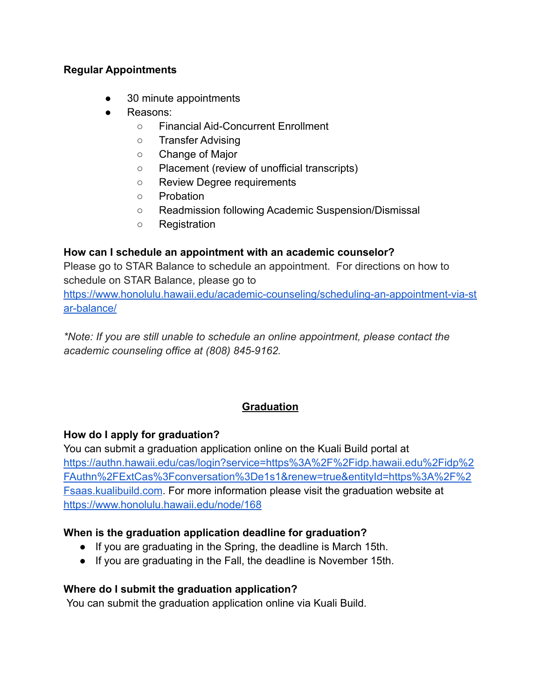#### **Regular Appointments**

- 30 minute appointments
- Reasons:
	- Financial Aid-Concurrent Enrollment
	- Transfer Advising
	- Change of Major
	- Placement (review of unofficial transcripts)
	- Review Degree requirements
	- Probation
	- Readmission following Academic Suspension/Dismissal
	- Registration

## **How can I schedule an appointment with an academic counselor?**

Please go to STAR Balance to schedule an appointment. For directions on how to schedule on STAR Balance, please go to

[https://www.honolulu.hawaii.edu/academic-counseling/scheduling-an-appointment-via-st](https://www.honolulu.hawaii.edu/academic-counseling/scheduling-an-appointment-via-star-balance/) [ar-balance/](https://www.honolulu.hawaii.edu/academic-counseling/scheduling-an-appointment-via-star-balance/)

*\*Note: If you are still unable to schedule an online appointment, please contact the academic counseling office at (808) 845-9162.*

# **Graduation**

## **How do I apply for graduation?**

You can submit a graduation application online on the Kuali Build portal at [https://authn.hawaii.edu/cas/login?service=https%3A%2F%2Fidp.hawaii.edu%2Fidp%2](https://authn.hawaii.edu/cas/login?service=https%3A%2F%2Fidp.hawaii.edu%2Fidp%2FAuthn%2FExtCas%3Fconversation%3De1s1&renew=true&entityId=https%3A%2F%2Fsaas.kualibuild.com) [FAuthn%2FExtCas%3Fconversation%3De1s1&renew=true&entityId=https%3A%2F%2](https://authn.hawaii.edu/cas/login?service=https%3A%2F%2Fidp.hawaii.edu%2Fidp%2FAuthn%2FExtCas%3Fconversation%3De1s1&renew=true&entityId=https%3A%2F%2Fsaas.kualibuild.com) [Fsaas.kualibuild.com](https://authn.hawaii.edu/cas/login?service=https%3A%2F%2Fidp.hawaii.edu%2Fidp%2FAuthn%2FExtCas%3Fconversation%3De1s1&renew=true&entityId=https%3A%2F%2Fsaas.kualibuild.com). For more information please visit the graduation website at <https://www.honolulu.hawaii.edu/node/168>

## **When is the graduation application deadline for graduation?**

- If you are graduating in the Spring, the deadline is March 15th.
- If you are graduating in the Fall, the deadline is November 15th.

## **Where do I submit the graduation application?**

You can submit the graduation application online via Kuali Build.